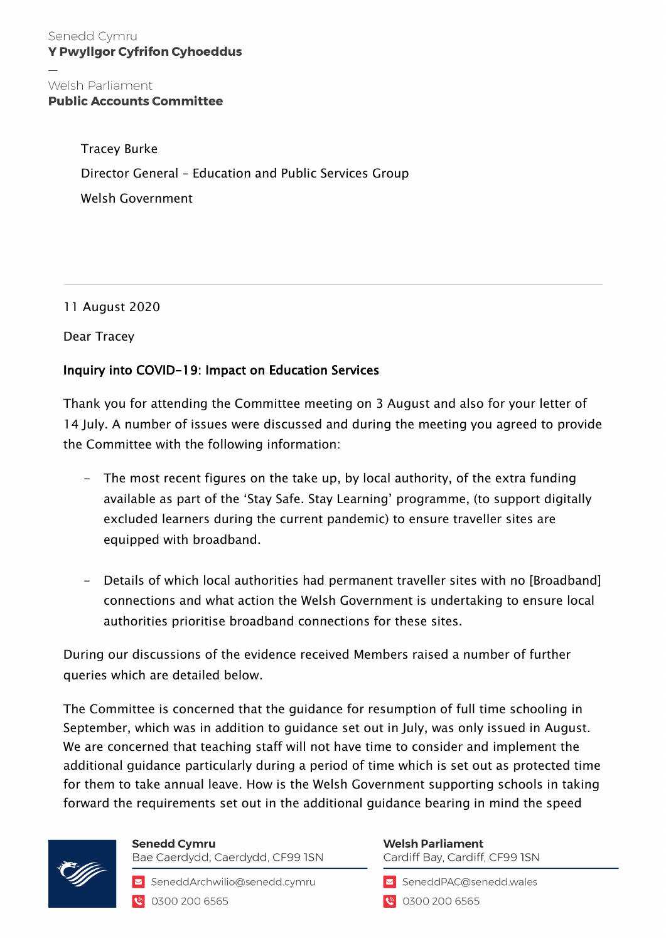## Senedd Cymru **Y Pwyllgor Cyfrifon Cyhoeddus**

## Welsh Parliament **Public Accounts Committee**

Tracey Burke Director General – Education and Public Services Group Welsh Government

11 August 2020

Dear Tracey

## Inquiry into COVID-19: Impact on Education Services

Thank you for attending the Committee meeting on 3 August and also for your letter of 14 July. A number of issues were discussed and during the meeting you agreed to provide the Committee with the following information:

- The most recent figures on the take up, by local authority, of the extra funding available as part of the 'Stay Safe. Stay Learning' programme, (to support digitally excluded learners during the current pandemic) to ensure traveller sites are equipped with broadband.
- Details of which local authorities had permanent traveller sites with no [Broadband] connections and what action the Welsh Government is undertaking to ensure local authorities prioritise broadband connections for these sites.

During our discussions of the evidence received Members raised a number of further queries which are detailed below.

The Committee is concerned that the guidance for resumption of full time schooling in September, which was in addition to guidance set out in July, was only issued in August. We are concerned that teaching staff will not have time to consider and implement the additional guidance particularly during a period of time which is set out as protected time for them to take annual leave. How is the Welsh Government supporting schools in taking forward the requirements set out in the additional guidance bearing in mind the speed



**Senedd Cymru** Bae Caerdydd, Caerdydd, CF99 ISN

SeneddArchwilio@senedd.cymru **@** 0300 200 6565

## **Welsh Parliament** Cardiff Bay, Cardiff, CF99 ISN

SeneddPAC@senedd.wales

0300 200 6565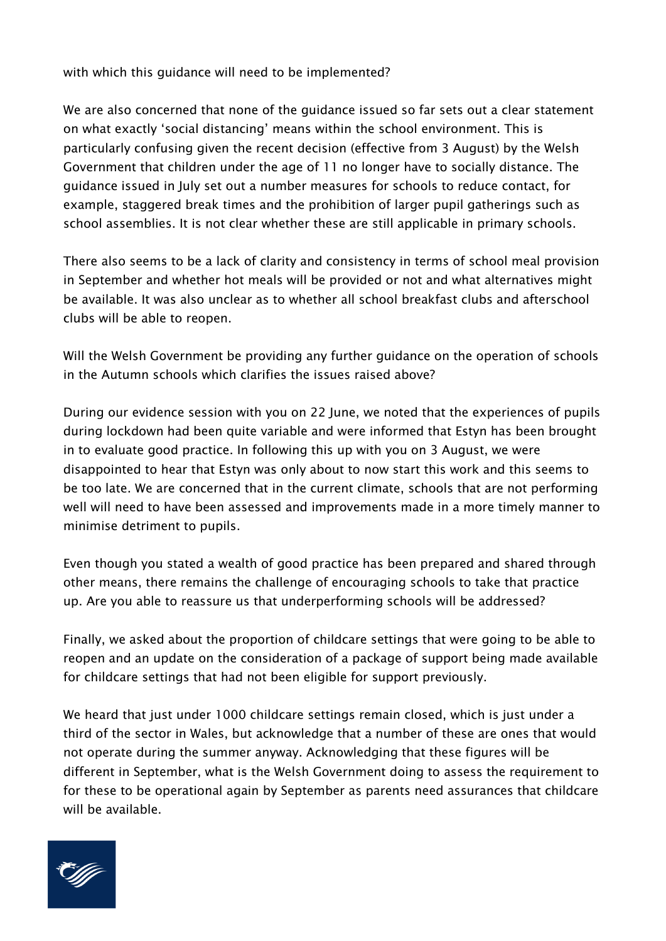with which this guidance will need to be implemented?

We are also concerned that none of the guidance issued so far sets out a clear statement on what exactly 'social distancing' means within the school environment. This is particularly confusing given the recent decision (effective from 3 August) by the Welsh Government that children under the age of 11 no longer have to socially distance. The guidance issued in July set out a number measures for schools to reduce contact, for example, staggered break times and the prohibition of larger pupil gatherings such as school assemblies. It is not clear whether these are still applicable in primary schools.

There also seems to be a lack of clarity and consistency in terms of school meal provision in September and whether hot meals will be provided or not and what alternatives might be available. It was also unclear as to whether all school breakfast clubs and afterschool clubs will be able to reopen.

Will the Welsh Government be providing any further guidance on the operation of schools in the Autumn schools which clarifies the issues raised above?

During our evidence session with you on 22 June, we noted that the experiences of pupils during lockdown had been quite variable and were informed that Estyn has been brought in to evaluate good practice. In following this up with you on 3 August, we were disappointed to hear that Estyn was only about to now start this work and this seems to be too late. We are concerned that in the current climate, schools that are not performing well will need to have been assessed and improvements made in a more timely manner to minimise detriment to pupils.

Even though you stated a wealth of good practice has been prepared and shared through other means, there remains the challenge of encouraging schools to take that practice up. Are you able to reassure us that underperforming schools will be addressed?

Finally, we asked about the proportion of childcare settings that were going to be able to reopen and an update on the consideration of a package of support being made available for childcare settings that had not been eligible for support previously.

We heard that just under 1000 childcare settings remain closed, which is just under a third of the sector in Wales, but acknowledge that a number of these are ones that would not operate during the summer anyway. Acknowledging that these figures will be different in September, what is the Welsh Government doing to assess the requirement to for these to be operational again by September as parents need assurances that childcare will be available.